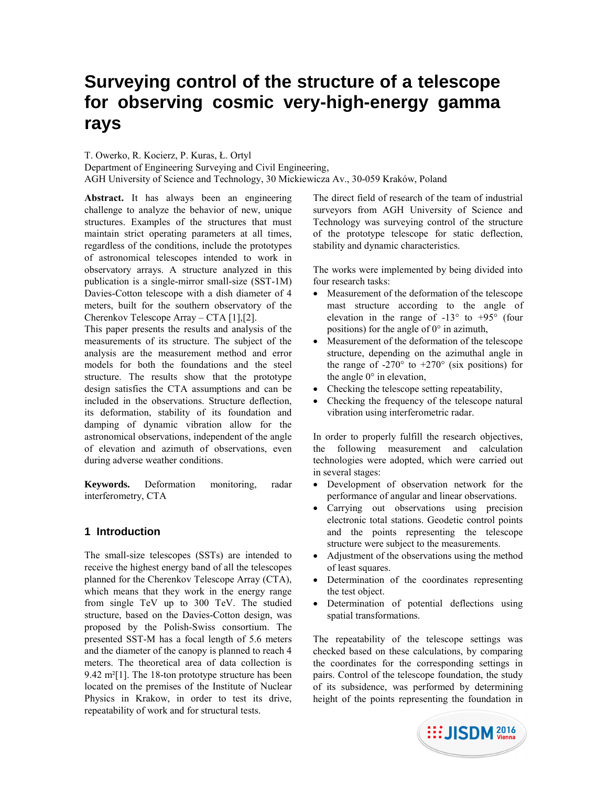# **Surveying control of the structure of a telescope for observing cosmic very-high-energy gamma rays**

## T. Owerko, R. Kocierz, P. Kuras, Ł. Ortyl

Department of Engineering Surveying and Civil Engineering, AGH University of Science and Technology, 30 Mickiewicza Av., 30-059 Kraków, Poland

Abstract. It has always been an engineering challenge to analyze the behavior of new, unique structures. Examples of the structures that must maintain strict operating parameters at all times, regardless of the conditions, include the prototypes of astronomical telescopes intended to work in observatory arrays. A structure analyzed in this publication is a single-mirror small-size (SST-1M) Davies-Cotton telescope with a dish diameter of 4 meters, built for the southern observatory of the Cherenkov Telescope Array – CTA [1],[2].

This paper presents the results and analysis of the measurements of its structure. The subject of the analysis are the measurement method and error models for both the foundations and the steel structure. The results show that the prototype design satisfies the CTA assumptions and can be included in the observations. Structure deflection, its deformation, stability of its foundation and damping of dynamic vibration allow for the astronomical observations, independent of the angle of elevation and azimuth of observations, even during adverse weather conditions.

**Keywords.** Deformation monitoring, radar interferometry, CTA

# **1 Introduction**

The small-size telescopes (SSTs) are intended to receive the highest energy band of all the telescopes planned for the Cherenkov Telescope Array (CTA), which means that they work in the energy range from single TeV up to 300 TeV. The studied structure, based on the Davies-Cotton design, was proposed by the Polish-Swiss consortium. The presented SST-M has a focal length of 5.6 meters and the diameter of the canopy is planned to reach 4 meters. The theoretical area of data collection is 9.42 m²[1]. The 18-ton prototype structure has been located on the premises of the Institute of Nuclear Physics in Krakow, in order to test its drive, repeatability of work and for structural tests.

The direct field of research of the team of industrial surveyors from AGH University of Science and Technology was surveying control of the structure of the prototype telescope for static deflection, stability and dynamic characteristics.

The works were implemented by being divided into four research tasks:

- Measurement of the deformation of the telescope mast structure according to the angle of elevation in the range of -13° to +95° (four positions) for the angle of 0° in azimuth,
- Measurement of the deformation of the telescope structure, depending on the azimuthal angle in the range of  $-270^\circ$  to  $+270^\circ$  (six positions) for the angle 0° in elevation,
- Checking the telescope setting repeatability,
- Checking the frequency of the telescope natural vibration using interferometric radar.

In order to properly fulfill the research objectives, the following measurement and calculation technologies were adopted, which were carried out in several stages:

- Development of observation network for the performance of angular and linear observations.
- Carrying out observations using precision electronic total stations. Geodetic control points and the points representing the telescope structure were subject to the measurements.
- Adjustment of the observations using the method of least squares.
- Determination of the coordinates representing the test object.
- Determination of potential deflections using spatial transformations.

The repeatability of the telescope settings was checked based on these calculations, by comparing the coordinates for the corresponding settings in pairs. Control of the telescope foundation, the study of its subsidence, was performed by determining height of the points representing the foundation in

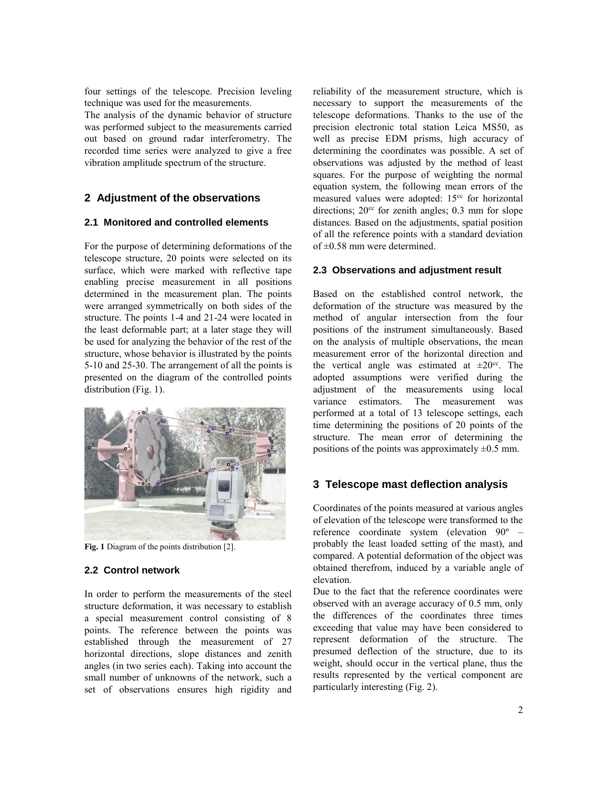four settings of the telescope. Precision leveling technique was used for the measurements.

The analysis of the dynamic behavior of structure was performed subject to the measurements carried out based on ground radar interferometry. The recorded time series were analyzed to give a free vibration amplitude spectrum of the structure.

## **2 Adjustment of the observations**

## **2.1 Monitored and controlled elements**

For the purpose of determining deformations of the telescope structure, 20 points were selected on its surface, which were marked with reflective tape enabling precise measurement in all positions determined in the measurement plan. The points were arranged symmetrically on both sides of the structure. The points 1-4 and 21-24 were located in the least deformable part; at a later stage they will be used for analyzing the behavior of the rest of the structure, whose behavior is illustrated by the points 5-10 and 25-30. The arrangement of all the points is presented on the diagram of the controlled points distribution (Fig. 1).



**Fig. 1** Diagram of the points distribution [2].

## **2.2 Control network**

In order to perform the measurements of the steel structure deformation, it was necessary to establish a special measurement control consisting of 8 points. The reference between the points was established through the measurement of 27 horizontal directions, slope distances and zenith angles (in two series each). Taking into account the small number of unknowns of the network, such a set of observations ensures high rigidity and

reliability of the measurement structure, which is necessary to support the measurements of the telescope deformations. Thanks to the use of the precision electronic total station Leica MS50, as well as precise EDM prisms, high accuracy of determining the coordinates was possible. A set of observations was adjusted by the method of least squares. For the purpose of weighting the normal equation system, the following mean errors of the measured values were adopted: 15<sup>cc</sup> for horizontal directions;  $20<sup>cc</sup>$  for zenith angles; 0.3 mm for slope distances. Based on the adjustments, spatial position of all the reference points with a standard deviation of ±0.58 mm were determined.

## **2.3 Observations and adjustment result**

Based on the established control network, the deformation of the structure was measured by the method of angular intersection from the four positions of the instrument simultaneously. Based on the analysis of multiple observations, the mean measurement error of the horizontal direction and the vertical angle was estimated at  $\pm 20^{\circ}$ . The adopted assumptions were verified during the adjustment of the measurements using local variance estimators. The measurement was performed at a total of 13 telescope settings, each time determining the positions of 20 points of the structure. The mean error of determining the positions of the points was approximately  $\pm 0.5$  mm.

# **3 Telescope mast deflection analysis**

Coordinates of the points measured at various angles of elevation of the telescope were transformed to the reference coordinate system (elevation 90º – probably the least loaded setting of the mast), and compared. A potential deformation of the object was obtained therefrom, induced by a variable angle of elevation.

Due to the fact that the reference coordinates were observed with an average accuracy of 0.5 mm, only the differences of the coordinates three times exceeding that value may have been considered to represent deformation of the structure. The presumed deflection of the structure, due to its weight, should occur in the vertical plane, thus the results represented by the vertical component are particularly interesting (Fig. 2).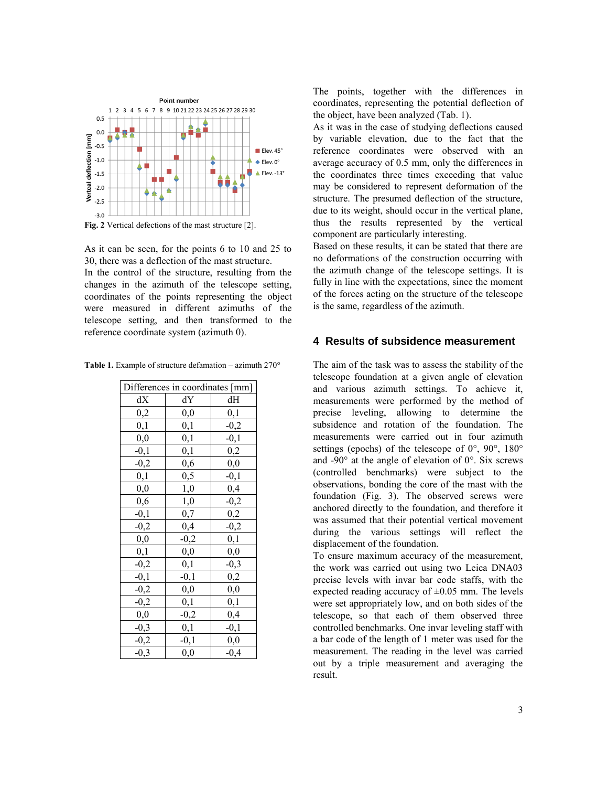

**Fig. 2** Vertical defections of the mast structure [2].

As it can be seen, for the points 6 to 10 and 25 to 30, there was a deflection of the mast structure. In the control of the structure, resulting from the changes in the azimuth of the telescope setting, coordinates of the points representing the object were measured in different azimuths of the telescope setting, and then transformed to the reference coordinate system (azimuth 0).

**Table 1.** Example of structure defamation – azimuth 270°

| Differences in coordinates [mm] |          |          |  |  |
|---------------------------------|----------|----------|--|--|
| dX                              | dY       | dН       |  |  |
| $_{0,2}$                        | $_{0,0}$ | 0,1      |  |  |
| 0,1                             | 0,1      | $-0,2$   |  |  |
| $_{0,0}$                        | 0,1      | $-0,1$   |  |  |
| $-0,1$                          | 0,1      | 0,2      |  |  |
| $-0,2$                          | 0,6      | $_{0,0}$ |  |  |
| 0,1                             | 0,5      | $-0,1$   |  |  |
| 0,0                             | 1,0      | 0,4      |  |  |
| 0,6                             | 1,0      | $-0,2$   |  |  |
| $-0,1$                          | 0,7      | 0,2      |  |  |
| $-0,2$                          | 0,4      | $-0,2$   |  |  |
| $_{0,0}$                        | $-0,2$   | 0,1      |  |  |
| 0,1                             | $_{0,0}$ | 0,0      |  |  |
| $-0,2$                          | 0,1      | $-0,3$   |  |  |
| $-0,1$                          | $-0,1$   | 0,2      |  |  |
| $-0,2$                          | $_{0,0}$ | 0,0      |  |  |
| $-0,2$                          | 0,1      | 0,1      |  |  |
| $_{0,0}$                        | $-0,2$   | 0,4      |  |  |
| $-0,3$                          | 0,1      | $-0,1$   |  |  |
| $-0,2$                          | $-0,1$   | 0,0      |  |  |
| $-0,3$                          | 0,0      | $-0,4$   |  |  |

The points, together with the differences in coordinates, representing the potential deflection of the object, have been analyzed (Tab. 1).

As it was in the case of studying deflections caused by variable elevation, due to the fact that the reference coordinates were observed with an average accuracy of 0.5 mm, only the differences in the coordinates three times exceeding that value may be considered to represent deformation of the structure. The presumed deflection of the structure, due to its weight, should occur in the vertical plane, thus the results represented by the vertical component are particularly interesting.

Based on these results, it can be stated that there are no deformations of the construction occurring with the azimuth change of the telescope settings. It is fully in line with the expectations, since the moment of the forces acting on the structure of the telescope is the same, regardless of the azimuth.

#### **4 Results of subsidence measurement**

The aim of the task was to assess the stability of the telescope foundation at a given angle of elevation and various azimuth settings. To achieve it, measurements were performed by the method of precise leveling, allowing to determine the subsidence and rotation of the foundation. The measurements were carried out in four azimuth settings (epochs) of the telescope of  $0^{\circ}$ ,  $90^{\circ}$ ,  $180^{\circ}$ and -90 $\degree$  at the angle of elevation of  $0\degree$ . Six screws (controlled benchmarks) were subject to the observations, bonding the core of the mast with the foundation (Fig. 3). The observed screws were anchored directly to the foundation, and therefore it was assumed that their potential vertical movement during the various settings will reflect the displacement of the foundation.

To ensure maximum accuracy of the measurement, the work was carried out using two Leica DNA03 precise levels with invar bar code staffs, with the expected reading accuracy of  $\pm 0.05$  mm. The levels were set appropriately low, and on both sides of the telescope, so that each of them observed three controlled benchmarks. One invar leveling staff with a bar code of the length of 1 meter was used for the measurement. The reading in the level was carried out by a triple measurement and averaging the result.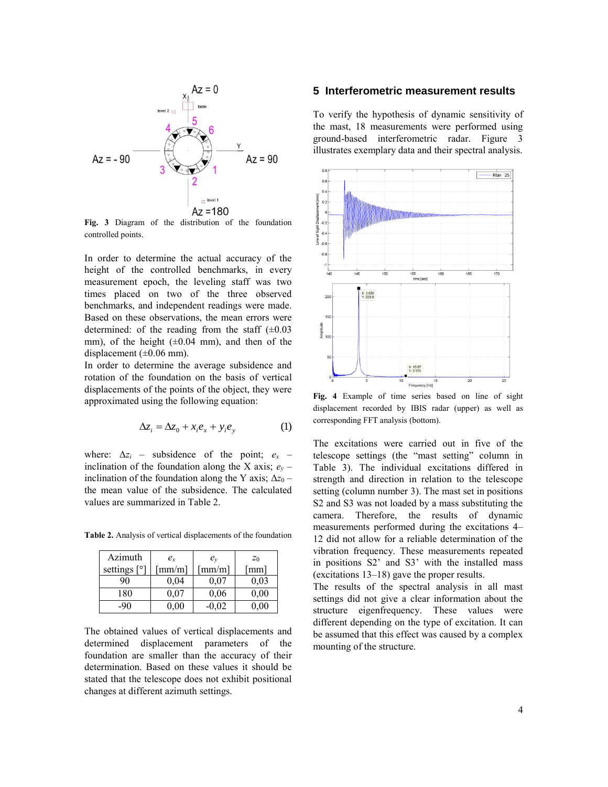

**Fig. 3** Diagram of the distribution of the foundation controlled points.

In order to determine the actual accuracy of the height of the controlled benchmarks, in every measurement epoch, the leveling staff was two times placed on two of the three observed benchmarks, and independent readings were made. Based on these observations, the mean errors were determined: of the reading from the staff  $(\pm 0.03)$ mm), of the height  $(\pm 0.04 \text{ mm})$ , and then of the displacement  $(\pm 0.06 \text{ mm})$ .

In order to determine the average subsidence and rotation of the foundation on the basis of vertical displacements of the points of the object, they were approximated using the following equation:

$$
\Delta z_i = \Delta z_0 + x_i e_x + y_i e_y \tag{1}
$$

where:  $\Delta z_i$  – subsidence of the point;  $e_x$  – inclination of the foundation along the X axis;  $e_y$  – inclination of the foundation along the Y axis;  $\Delta z_0$  – the mean value of the subsidence. The calculated values are summarized in Table 2.

**Table 2.** Analysis of vertical displacements of the foundation

| Azimuth          | $e_{r}$        | $e_v$                  | $z_0$                |
|------------------|----------------|------------------------|----------------------|
| settings<br>Lo J | $\lceil$ mm/m] | $\lceil$ mm/m $\rceil$ | $\lceil$ mm $\rceil$ |
| 90               | 0,04           | 0.07                   | 0,03                 |
| 180              | 0.07           | 0,06                   | 0.00                 |
| -90              | 0,00           | $-0,02$                | $0.00\,$             |

The obtained values of vertical displacements and determined displacement parameters of the foundation are smaller than the accuracy of their determination. Based on these values it should be stated that the telescope does not exhibit positional changes at different azimuth settings.

#### **5 Interferometric measurement results**

To verify the hypothesis of dynamic sensitivity of the mast, 18 measurements were performed using ground-based interferometric radar. Figure 3 illustrates exemplary data and their spectral analysis.



**Fig. 4** Example of time series based on line of sight displacement recorded by IBIS radar (upper) as well as corresponding FFT analysis (bottom).

The excitations were carried out in five of the telescope settings (the "mast setting" column in Table 3). The individual excitations differed in strength and direction in relation to the telescope setting (column number 3). The mast set in positions S2 and S3 was not loaded by a mass substituting the camera. Therefore, the results of dynamic measurements performed during the excitations 4– 12 did not allow for a reliable determination of the vibration frequency. These measurements repeated in positions S2' and S3' with the installed mass (excitations 13–18) gave the proper results.

The results of the spectral analysis in all mast settings did not give a clear information about the structure eigenfrequency. These values were different depending on the type of excitation. It can be assumed that this effect was caused by a complex mounting of the structure.